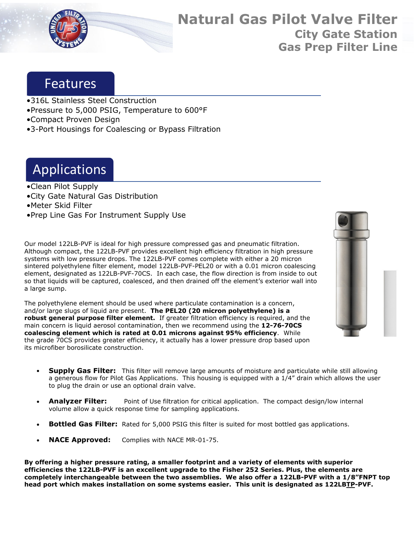

## Features

- •316L Stainless Steel Construction
- •Pressure to 5,000 PSIG, Temperature to 600°F
- •Compact Proven Design
- •3-Port Housings for Coalescing or Bypass Filtration

## Applications

- •Clean Pilot Supply
- •City Gate Natural Gas Distribution
- •Meter Skid Filter
- •Prep Line Gas For Instrument Supply Use

Our model 122LB-PVF is ideal for high pressure compressed gas and pneumatic filtration. Although compact, the 122LB-PVF provides excellent high efficiency filtration in high pressure systems with low pressure drops. The 122LB-PVF comes complete with either a 20 micron sintered polyethylene filter element, model 122LB-PVF-PEL20 or with a 0.01 micron coalescing element, designated as 122LB-PVF-70CS. In each case, the flow direction is from inside to out so that liquids will be captured, coalesced, and then drained off the element's exterior wall into a large sump.

The polyethylene element should be used where particulate contamination is a concern, and/or large slugs of liquid are present. **The PEL20 (20 micron polyethylene) is a robust general purpose filter element.** If greater filtration efficiency is required, and the main concern is liquid aerosol contamination, then we recommend using the **12-76-70CS coalescing element which is rated at 0.01 microns against 95% efficiency**. While the grade 70CS provides greater efficiency, it actually has a lower pressure drop based upon its microfiber borosilicate construction.



- **Supply Gas Filter:** This filter will remove large amounts of moisture and particulate while still allowing a generous flow for Pilot Gas Applications. This housing is equipped with a 1/4" drain which allows the user to plug the drain or use an optional drain valve.
- **Analyzer Filter:** Point of Use filtration for critical application. The compact design/low internal volume allow a quick response time for sampling applications.
- **Bottled Gas Filter:** Rated for 5,000 PSIG this filter is suited for most bottled gas applications.
- **NACE Approved:** Complies with NACE MR-01-75.

**By offering a higher pressure rating, a smaller footprint and a variety of elements with superior efficiencies the 122LB-PVF is an excellent upgrade to the Fisher 252 Series. Plus, the elements are completely interchangeable between the two assemblies. We also offer a 122LB-PVF with a 1/8"FNPT top head port which makes installation on some systems easier. This unit is designated as 122LBTP-PVF.**